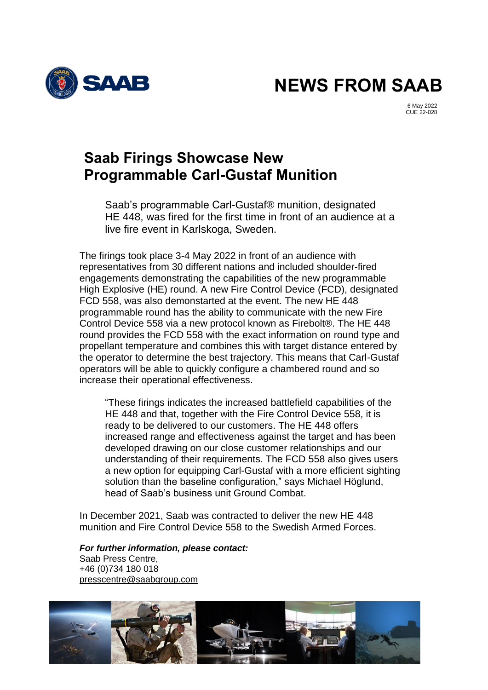

**NEWS FROM SAAB**

6 May 2022 CUE 22-028

## **Saab Firings Showcase New Programmable Carl-Gustaf Munition**

Saab's programmable Carl-Gustaf® munition, designated HE 448, was fired for the first time in front of an audience at a live fire event in Karlskoga, Sweden.

The firings took place 3-4 May 2022 in front of an audience with representatives from 30 different nations and included shoulder-fired engagements demonstrating the capabilities of the new programmable High Explosive (HE) round. A new Fire Control Device (FCD), designated FCD 558, was also demonstarted at the event. The new HE 448 programmable round has the ability to communicate with the new Fire Control Device 558 via a new protocol known as Firebolt®. The HE 448 round provides the FCD 558 with the exact information on round type and propellant temperature and combines this with target distance entered by the operator to determine the best trajectory. This means that Carl-Gustaf operators will be able to quickly configure a chambered round and so increase their operational effectiveness.

"These firings indicates the increased battlefield capabilities of the HE 448 and that, together with the Fire Control Device 558, it is ready to be delivered to our customers. The HE 448 offers increased range and effectiveness against the target and has been developed drawing on our close customer relationships and our understanding of their requirements. The FCD 558 also gives users a new option for equipping Carl-Gustaf with a more efficient sighting solution than the baseline configuration," says Michael Höglund, head of Saab's business unit Ground Combat.

In December 2021, Saab was contracted to deliver the new HE 448 munition and Fire Control Device 558 to the Swedish Armed Forces.

*For further information, please contact:* Saab Press Centre, +46 (0)734 180 018 [presscentre@saabgroup.com](mailto:presscentre@saabgroup.com)